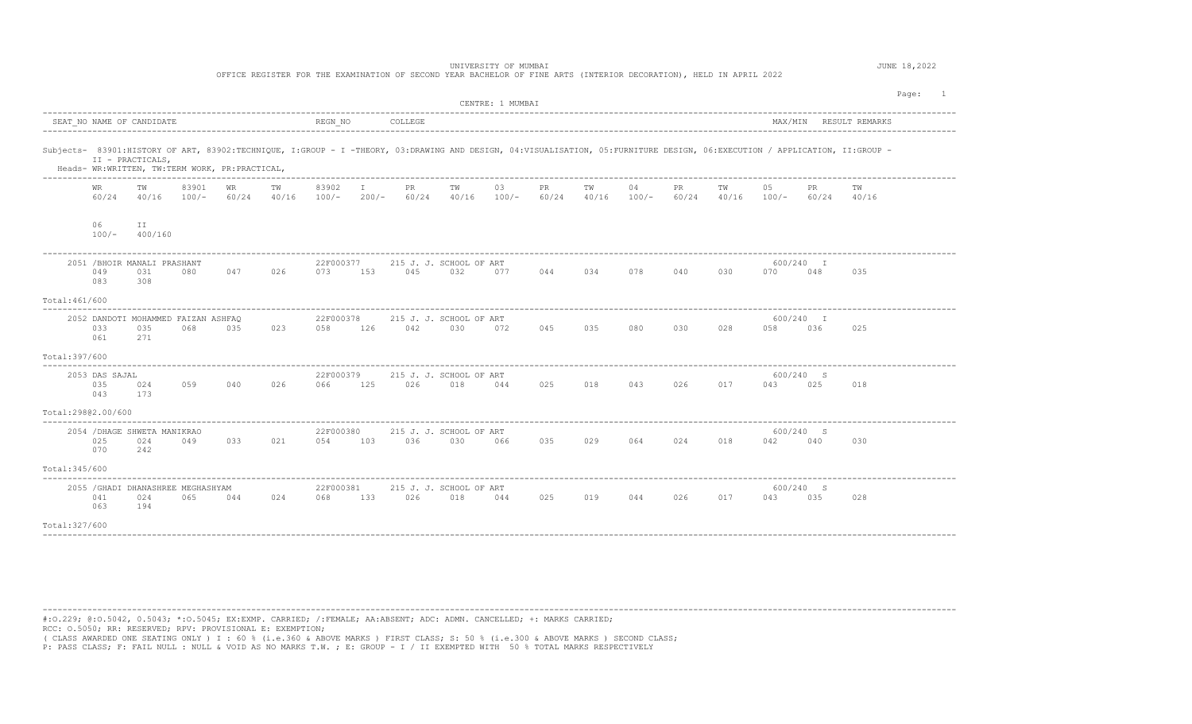| UNIVERSITY OF MUMBAI<br>OFFICE REGISTER FOR THE EXAMINATION OF SECOND YEAR BACHELOR OF FINE ARTS (INTERIOR DECORATION), HELD IN APRIL 2022 |                              |                                                                    |       |     |                 |                          |  |                 |                                                                                                             |                  |     |                                 |    | JUNE 18,2022 |     |         |                  |                                                                                                                                                                            |         |  |
|--------------------------------------------------------------------------------------------------------------------------------------------|------------------------------|--------------------------------------------------------------------|-------|-----|-----------------|--------------------------|--|-----------------|-------------------------------------------------------------------------------------------------------------|------------------|-----|---------------------------------|----|--------------|-----|---------|------------------|----------------------------------------------------------------------------------------------------------------------------------------------------------------------------|---------|--|
|                                                                                                                                            |                              |                                                                    |       |     |                 |                          |  |                 |                                                                                                             | CENTRE: 1 MUMBAI |     |                                 |    |              |     |         |                  |                                                                                                                                                                            | Page: 1 |  |
|                                                                                                                                            |                              |                                                                    |       |     |                 |                          |  |                 |                                                                                                             |                  |     |                                 |    |              |     |         |                  |                                                                                                                                                                            |         |  |
|                                                                                                                                            |                              | II - PRACTICALS,<br>Heads- WR:WRITTEN, TW:TERM WORK, PR:PRACTICAL, |       |     |                 |                          |  |                 |                                                                                                             |                  |     |                                 |    |              |     |         |                  | Subjects- 83901:HISTORY OF ART, 83902:TECHNIQUE, I:GROUP - I -THEORY, 03:DRAWING AND DESIGN, 04:VISUALISATION, 05:FURNITURE DESIGN, 06:EXECUTION / APPLICATION, II:GROUP - |         |  |
|                                                                                                                                            | WR<br>60/24                  | TW                                                                 | 83901 | WR  | TW              | 83902 I                  |  | <b>PR</b>       | TW<br>40/16 100/- 60/24 40/16 100/- 200/- 60/24 40/16 100/- 60/24 40/16 100/- 60/24 40/16 100/- 60/24 40/16 | 03               | PR  | TW                              | 04 | PR           | TW  | 05      | PR               | TW                                                                                                                                                                         |         |  |
|                                                                                                                                            | 06                           | ΙI<br>$100/ 400/160$                                               |       |     |                 |                          |  |                 |                                                                                                             |                  |     |                                 |    |              |     |         |                  |                                                                                                                                                                            |         |  |
|                                                                                                                                            | 049<br>083                   | 2051 / BHOIR MANALI PRASHANT<br>031<br>308                         | 080   |     | 047 026         | 22F000377                |  | 073 153 045 032 | 215 J. J. SCHOOL OF ART                                                                                     |                  |     | 077 044 034 078 040 030         |    |              |     | 070 048 | 600/240 I        | 035                                                                                                                                                                        |         |  |
| Total:461/600                                                                                                                              |                              |                                                                    |       |     |                 |                          |  |                 |                                                                                                             |                  |     |                                 |    |              |     |         |                  |                                                                                                                                                                            |         |  |
|                                                                                                                                            | 033<br>061                   | 2052 DANDOTI MOHAMMED FAIZAN ASHFAQ<br>035<br>271                  | 068   |     |                 | 22F000378                |  |                 | 215 J. J. SCHOOL OF ART<br>035 023 058 126 042 030 072 045 035 080 030 028                                  |                  |     |                                 |    |              |     | 058 036 | 600/240 I        | 025                                                                                                                                                                        |         |  |
| Total:397/600                                                                                                                              |                              |                                                                    |       |     |                 |                          |  |                 |                                                                                                             |                  |     |                                 |    |              |     |         |                  |                                                                                                                                                                            |         |  |
|                                                                                                                                            | 2053 DAS SAJAL<br>035<br>043 | 173                                                                |       |     | 024 059 040 026 | 22F000379<br>066 125 026 |  |                 | 215 J. J. SCHOOL OF ART<br>018                                                                              |                  |     | 044 025 018 043 026 017 043 025 |    |              |     |         | 600/240 S        | 018                                                                                                                                                                        |         |  |
|                                                                                                                                            | Total:29802.00/600           |                                                                    |       |     |                 |                          |  |                 |                                                                                                             |                  |     |                                 |    |              |     |         |                  |                                                                                                                                                                            |         |  |
|                                                                                                                                            | 025<br>070                   | 2054 / DHAGE SHWETA MANIKRAO<br>024<br>242                         | 049   | 033 | 021             | 22F000380                |  |                 | 215 J. J. SCHOOL OF ART<br>054 103 036 030 066                                                              |                  | 035 | 029                             |    | 064 024      | 018 | 042 040 | 600/240 S        | 030                                                                                                                                                                        |         |  |
| Total:345/600                                                                                                                              |                              |                                                                    |       |     |                 |                          |  |                 |                                                                                                             |                  |     |                                 |    |              |     |         |                  |                                                                                                                                                                            |         |  |
|                                                                                                                                            | 041<br>063                   | 2055 / GHADI DHANASHREE MEGHASHYAM<br>024<br>194                   | 065   | 044 | 024             | 22F000381<br>068 133     |  | 026             | 215 J. J. SCHOOL OF ART<br>018                                                                              | 044              |     | 025 019 044 026                 |    |              | 017 | 043     | 600/240 S<br>035 | 028                                                                                                                                                                        |         |  |
| Total: 327/600                                                                                                                             |                              |                                                                    |       |     |                 |                          |  |                 |                                                                                                             |                  |     |                                 |    |              |     |         |                  |                                                                                                                                                                            |         |  |
|                                                                                                                                            |                              |                                                                    |       |     |                 |                          |  |                 |                                                                                                             |                  |     |                                 |    |              |     |         |                  |                                                                                                                                                                            |         |  |

---------------------------------------------------------------------------------------------------------------------------------------------------------------------------------------- #:O.229; @:O.5042, 0.5043; \*:O.5045; EX:EXMP. CARRIED; /:FEMALE; AA:ABSENT; ADC: ADMN. CANCELLED; +: MARKS CARRIED; RCC: O.5050; RR: RESERVED; RPV: PROVISIONAL E: EXEMPTION; ( CLASS AWARDED ONE SEATING ONLY ) I : 60 % (i.e.360 & ABOVE MARKS ) FIRST CLASS; S: 50 % (i.e.300 & ABOVE MARKS ) SECOND CLASS;

P: PASS CLASS; F: FAIL NULL : NULL & VOID AS NO MARKS T.W. ; E: GROUP - I / II EXEMPTED WITH 50 % TOTAL MARKS RESPECTIVELY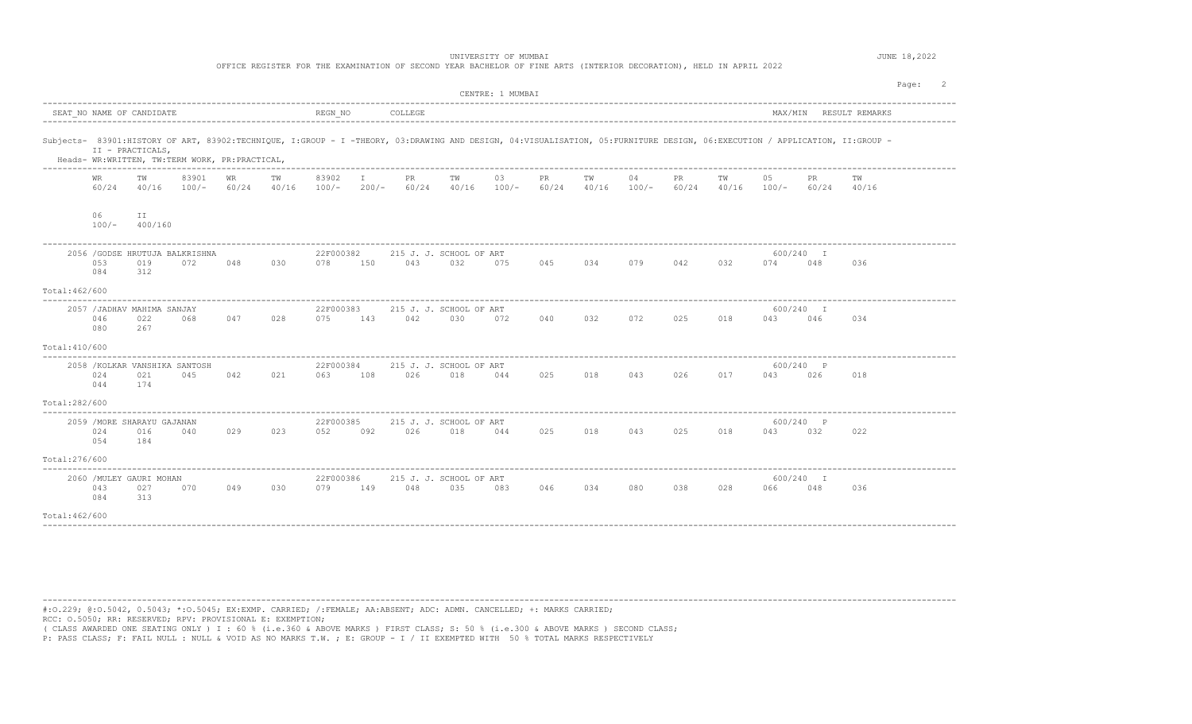UNIVERSITY OF MUMBAI **JUNE 18,2022** 

OFFICE REGISTER FOR THE EXAMINATION OF SECOND YEAR BACHELOR OF FINE ARTS (INTERIOR DECORATION), HELD IN APRIL 2022

|                           |               |                                               |                                                |             |             |                      |                                                                                                                                                                            |                                |                                    | CENTRE: 1 MUMBAI |     |             |               |                        |                   |                  |              |             | Page: 2 |  |
|---------------------------|---------------|-----------------------------------------------|------------------------------------------------|-------------|-------------|----------------------|----------------------------------------------------------------------------------------------------------------------------------------------------------------------------|--------------------------------|------------------------------------|------------------|-----|-------------|---------------|------------------------|-------------------|------------------|--------------|-------------|---------|--|
| SEAT NO NAME OF CANDIDATE |               |                                               | REGN NO<br>COLLEGE                             |             |             |                      |                                                                                                                                                                            |                                |                                    |                  |     |             |               | MAX/MIN RESULT REMARKS |                   |                  |              |             |         |  |
|                           |               | II - PRACTICALS,                              | Heads- WR:WRITTEN, TW:TERM WORK, PR:PRACTICAL, |             |             |                      | Subjects- 83901:HISTORY OF ART, 83902:TECHNIQUE, I:GROUP - I -THEORY, 03:DRAWING AND DESIGN, 04:VISUALISATION, 05:FURNITURE DESIGN, 06:EXECUTION / APPLICATION, II:GROUP - |                                |                                    |                  |     |             |               |                        |                   |                  |              |             |         |  |
|                           | WR<br>60/24   | TW<br>40/16                                   | 83901<br>$100/-$                               | WR<br>60/24 | TW<br>40/16 | 83902<br>$100/-$     | $\mathbb{I}$<br>$200/-$                                                                                                                                                    | PR                             | TW<br>$60/24$ $40/16$ $100/ 60/24$ | 03               | PR  | TW<br>40/16 | 04<br>$100/-$ | PR.                    | TW<br>60/24 40/16 | 05<br>$100/-$    | PR.<br>60/24 | TW<br>40/16 |         |  |
|                           | 06<br>$100/-$ | II.<br>400/160                                |                                                |             |             |                      |                                                                                                                                                                            |                                |                                    |                  |     |             |               |                        |                   |                  |              |             |         |  |
|                           | 053<br>084    | 2056 / GODSE HRUTUJA BALKRISHNA<br>019<br>312 | 072                                            | 048         | 030         | 22F000382<br>078     | 150                                                                                                                                                                        | 215 J. J. SCHOOL OF ART<br>043 | 032                                | 075              | 045 | 034         | 079           | 042                    | 032               | 600/240 I<br>074 | 048          | 036         |         |  |
| Total: 462/600            |               |                                               |                                                |             |             |                      |                                                                                                                                                                            |                                |                                    |                  |     |             |               |                        |                   |                  |              |             |         |  |
|                           | 046<br>080    | 2057 / JADHAV MAHIMA SANJAY<br>022<br>267     | 068                                            | 047         | 028         | 22F000383<br>075 143 |                                                                                                                                                                            | 042                            | 215 J. J. SCHOOL OF ART<br>030     | 072              | 040 | 032         | 072           | 025                    | 018               | 600/240 I<br>043 | 046          | 034         |         |  |
| Total: 410/600            |               |                                               |                                                |             |             |                      |                                                                                                                                                                            |                                |                                    |                  |     |             |               |                        |                   |                  |              |             |         |  |
|                           | 024<br>044    | 2058 / KOLKAR VANSHIKA SANTOSH<br>021<br>174  | 045                                            | 042         | 021         | 22F000384<br>063 108 |                                                                                                                                                                            | 026 018                        | 215 J. J. SCHOOL OF ART            | 044              | 025 | 018         | 043           | 026                    | 017               | 600/240 P<br>043 | 026          | 018         |         |  |
| Total:282/600             |               |                                               |                                                |             |             |                      |                                                                                                                                                                            |                                |                                    |                  |     |             |               |                        |                   |                  |              |             |         |  |
|                           | 024<br>054    | 2059 / MORE SHARAYU GAJANAN<br>016<br>184     | 040                                            | 029         | 023         | 22F000385<br>052     | 092                                                                                                                                                                        | 215 J. J. SCHOOL OF ART<br>026 | 018                                | 044              | 025 | 018         | 043 025       |                        | 018               | 600/240 P<br>043 | 032          | 022         |         |  |
| Total: 276/600            |               |                                               |                                                |             |             |                      |                                                                                                                                                                            |                                |                                    |                  |     |             |               |                        |                   |                  |              |             |         |  |
|                           | 043<br>084    | 2060 / MULEY GAURI MOHAN<br>027<br>313        | 070                                            | 049         | 030         | 22F000386<br>079     | 149                                                                                                                                                                        | 215 J. J. SCHOOL OF ART<br>048 | 035                                | 083              | 046 | 034         | 080           | 038                    | 028               | 600/240 I<br>066 | 048          | 036         |         |  |
| Total: 462/600            |               |                                               |                                                |             |             |                      |                                                                                                                                                                            |                                |                                    |                  |     |             |               |                        |                   |                  |              |             |         |  |

----------------------------------------------------------------------------------------------------------------------------------------------------------------------------------------

#:O.229; @:O.5042, 0.5043; \*:O.5045; EX:EXMP. CARRIED; /:FEMALE; AA:ABSENT; ADC: ADMN. CANCELLED; +: MARKS CARRIED; RCC: O.5050; RR: RESERVED; RPV: PROVISIONAL E: EXEMPTION;

( CLASS AWARDED ONE SEATING ONLY ) I : 60 % (i.e.360 & ABOVE MARKS ) FIRST CLASS; S: 50 % (i.e.300 & ABOVE MARKS ) SECOND CLASS;<br>P: PASS CLASS; F: FAIL NULL : NULL & VOID AS NO MARKS T.W. ; E: GROUP - I / II EXEMPTED WITH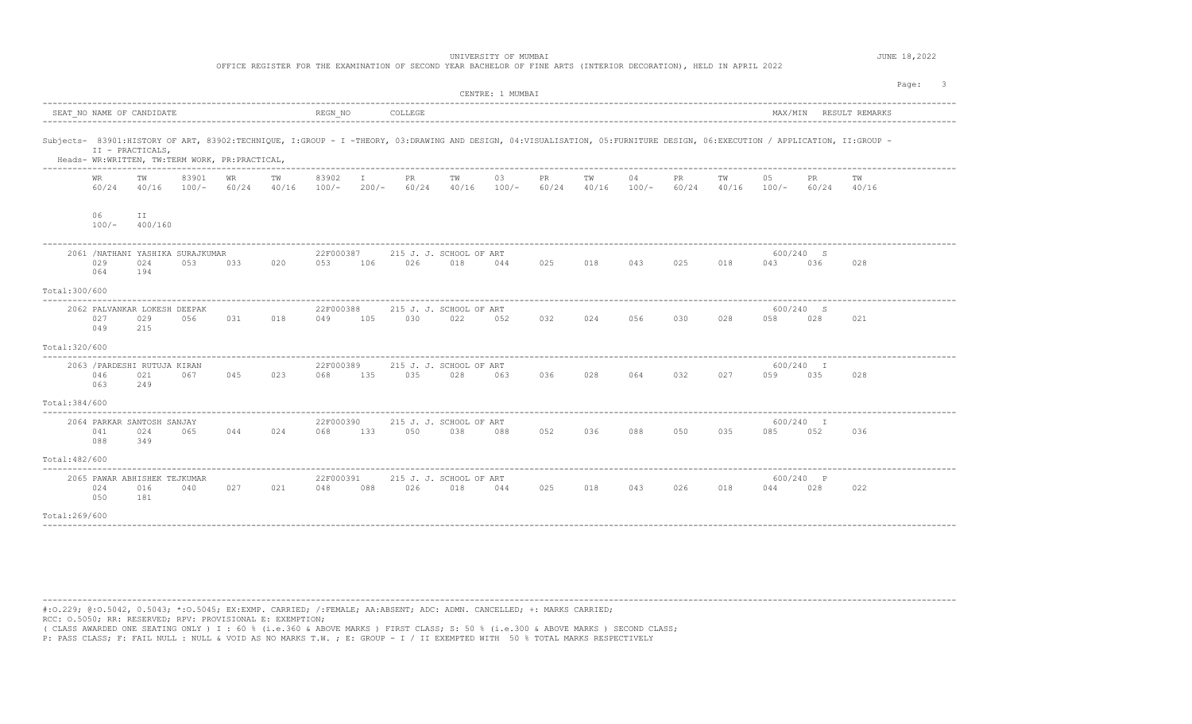UNIVERSITY OF MUMBAI **JUNE 18,2022** 

OFFICE REGISTER FOR THE EXAMINATION OF SECOND YEAR BACHELOR OF FINE ARTS (INTERIOR DECORATION), HELD IN APRIL 2022

|                |                                            |               |                                                |           |    |           |                             |                                                                                                                                                                            | CENTRE: 1 MUMBAI |           |                     |    |    |    |                                              |      |     | Page: 3 |  |
|----------------|--------------------------------------------|---------------|------------------------------------------------|-----------|----|-----------|-----------------------------|----------------------------------------------------------------------------------------------------------------------------------------------------------------------------|------------------|-----------|---------------------|----|----|----|----------------------------------------------|------|-----|---------|--|
|                | SEAT NO NAME OF CANDIDATE                  |               |                                                |           |    |           |                             |                                                                                                                                                                            |                  |           |                     |    |    |    |                                              |      |     |         |  |
|                | II - PRACTICALS,                           |               | Heads- WR:WRITTEN, TW:TERM WORK, PR:PRACTICAL, |           |    |           |                             | Subjects- 83901:HISTORY OF ART, 83902:TECHNIQUE, I:GROUP - I -THEORY, 03:DRAWING AND DESIGN, 04:VISUALISATION, 05:FURNITURE DESIGN, 06:EXECUTION / APPLICATION, II:GROUP - |                  |           |                     |    |    |    |                                              |      |     |         |  |
|                | WR                                         | TW            | 83901                                          | <b>WR</b> | TW | 83902 I   | <b>PR</b>                   | TW<br>$60/24$ $40/16$ $100/ 60/24$ $40/16$ $100/ 200/ 60/24$ $40/16$ $100/ 60/24$ $40/16$ $100/ 60/24$ $40/16$ $100/ 60/24$ $40/16$                                        | 03               | <b>PR</b> | TW                  | 04 | PR | TW | 05                                           | PR . | TW  |         |  |
|                | 06<br>$100/-$                              | ΙI<br>400/160 |                                                |           |    |           |                             |                                                                                                                                                                            |                  |           |                     |    |    |    |                                              |      |     |         |  |
|                | 029<br>064                                 | 024<br>194    | 2061 / NATHANI YASHIKA SURAJKUMAR<br>053       |           |    | 22F000387 | 033 020 053 106 026 018     | 215 J. J. SCHOOL OF ART                                                                                                                                                    |                  |           |                     |    |    |    | 600/240 S<br>044 025 018 043 025 018 043 036 |      | 028 |         |  |
| Total:300/600  |                                            |               |                                                |           |    |           |                             |                                                                                                                                                                            |                  |           |                     |    |    |    |                                              |      |     |         |  |
|                | 2062 PALVANKAR LOKESH DEEPAK<br>027<br>049 | 029<br>215    | 056 7                                          |           |    | 22F000388 |                             | 215 J. J. SCHOOL OF ART<br>031 018 049 105 030 022 052                                                                                                                     |                  |           | 032 024 056 030 028 |    |    |    | 600/240 S<br>058 028                         |      | 021 |         |  |
| Total:320/600  |                                            |               |                                                |           |    |           |                             |                                                                                                                                                                            |                  |           |                     |    |    |    |                                              |      |     |         |  |
|                | 2063 / PARDESHI RUTUJA KIRAN<br>046<br>063 | 021<br>249    |                                                |           |    | 22F000389 |                             | 215 J. J. SCHOOL OF ART<br>067 045 023 068 135 035 028 063 036 028 064 032 027                                                                                             |                  |           |                     |    |    |    | 600/240 I<br>059 035                         |      | 028 |         |  |
| Total: 384/600 |                                            |               |                                                |           |    |           |                             |                                                                                                                                                                            |                  |           |                     |    |    |    |                                              |      |     |         |  |
|                | 2064 PARKAR SANTOSH SANJAY<br>041<br>088   | 024<br>349    |                                                |           |    | 22F000390 | 065 044 024 068 133 050 038 | 215 J. J. SCHOOL OF ART                                                                                                                                                    | 088              |           | 052 036 088 050 035 |    |    |    | 600/240 I<br>085                             | 052  | 036 |         |  |
| Total: 482/600 |                                            |               |                                                |           |    |           |                             |                                                                                                                                                                            |                  |           |                     |    |    |    |                                              |      |     |         |  |
|                | 2065 PAWAR ABHISHEK TEJKUMAR<br>024<br>050 | 016<br>181    | 040                                            | 027       |    | 22F000391 |                             | 215 J. J. SCHOOL OF ART<br>021 048 088 026 018 044 025 018 043 026 018                                                                                                     |                  |           |                     |    |    |    | 600/240 P<br>044 028                         |      | 022 |         |  |
| Total: 269/600 |                                            |               |                                                |           |    |           |                             |                                                                                                                                                                            |                  |           |                     |    |    |    |                                              |      |     |         |  |
|                |                                            |               |                                                |           |    |           |                             |                                                                                                                                                                            |                  |           |                     |    |    |    |                                              |      |     |         |  |

----------------------------------------------------------------------------------------------------------------------------------------------------------------------------------------

#:O.229; @:O.5042, 0.5043; \*:O.5045; EX:EXMP. CARRIED; /:FEMALE; AA:ABSENT; ADC: ADMN. CANCELLED; +: MARKS CARRIED; RCC: O.5050; RR: RESERVED; RPV: PROVISIONAL E: EXEMPTION;

( CLASS AWARDED ONE SEATING ONLY ) I : 60 % (i.e.360 & ABOVE MARKS ) FIRST CLASS; S: 50 % (i.e.300 & ABOVE MARKS ) SECOND CLASS;<br>P: PASS CLASS; F: FAIL NULL : NULL & VOID AS NO MARKS T.W. ; E: GROUP - I / II EXEMPTED WITH